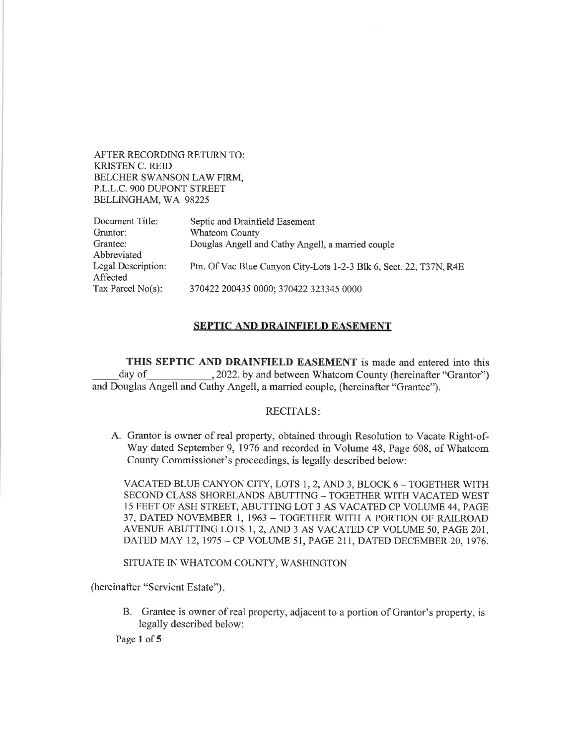AFTER RECORDING RETURN TO: KRISTEN C. REID BELCHER SWANSON LAW FIRM, P.L.L.C. 9OO DUPONT STREET BELLINGHAM, WA 98225

| Document Title:      | Septic and Drainfield Easement                                     |
|----------------------|--------------------------------------------------------------------|
| Grantor:             | <b>Whatcom County</b>                                              |
| Grantee:             | Douglas Angell and Cathy Angell, a married couple                  |
| Abbreviated          |                                                                    |
| Legal Description:   | Ptn. Of Vac Blue Canyon City-Lots 1-2-3 Blk 6, Sect. 22, T37N, R4E |
| Affected             |                                                                    |
| Tax Parcel $No(s)$ : | 370422 200435 0000; 370422 323345 0000                             |

## SEPTIC AND DRAINFIELD EASEMENT

THIS SEPTIC AND DRAINFIELD EASEMENT is made and entered into this day of 3022, by and between Whatcom County (hereinafter "Grantor") and Douglas Angell and Cathy Angell, a married couple, (hereinafter "Grantee").

## RECITALS

A. Grantor is owner of real properfy, obtained through Resolution to Vacate Right-of-Way dated September 9, 1976 and recorded in Volume 48, Page 608, of Whatcom County Commissioner's proceedings, is legally described below:

VACATED BLUE CANYON CITY, LOTS 1, 2, AND 3, BLOCK 6 - TOGETHER WITH SECOND CLASS SHORELANDS ABUTTING - TOGETHER WITH VACATED WEST 15 FEET OF ASH STREET, ABUTTING LOT 3 AS VACATED CP VOLUME 44, PAGE 37, DATED NOVEMBER 1, 1963 - TOGETHER WITH A PORTION OF RAILROAD AVENUE ABUTTING LOTS 1, 2, AND 3 AS VACATED CP VOLUME 50, PAGE 201, DATED MAY 12, 1975 - CP VOLUME 51, PAGE 211, DATED DECEMBER 20, 1976.

SITUATE IN WHATCOM COUNTY, WASHINGTON

(hereinafter "Servient Estate")

B. Grantee is owner of real property, adjacent to a portion of Grantor's properfy, is legally described below:

Page 1 of 5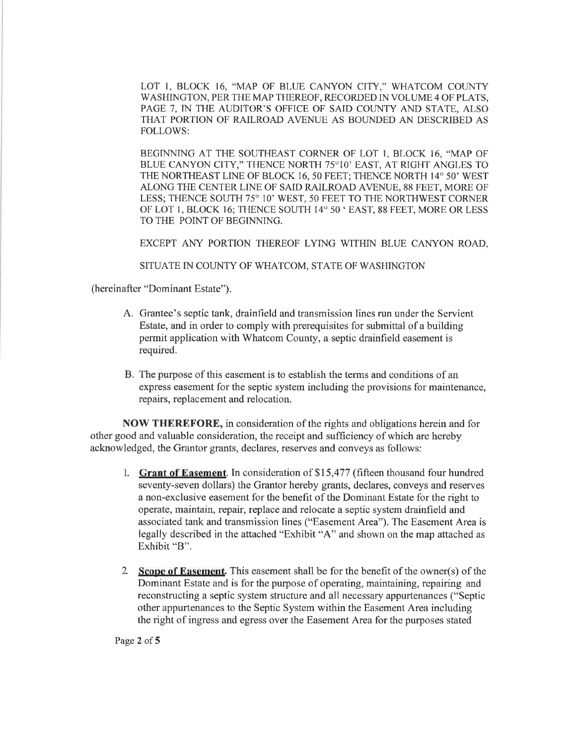LOT 1, BLOCK 16, "MAP OF BLUE CANYON CITY," WHATCOM COUNTY WASHINGTON, PER THE MAP THEREOF, RECORDED IN VOLUME 4 OF PLATS, PAGE 7, IN THE AUDITOR'S OFFICE OF SAID COUNTY AND STATE, ALSO THAT PORTION OF RAILROAD AVENUE AS BOUNDED AN DESCRIBED AS FOLLOWS:

BEGINNING AT THE SOUTHEAST CORNER OF LOT I, BLOCK 16, "MAP OF BLUE CANYON CITY," THENCE NORTH 75°10' EAST, AT RIGHT ANGLES TO THE NORTHEAST LINE OF BLOCK 16, 50 FEET; THENCE NORTH 14" 50' WEST ALONG THE CENTER LINE OF SAID RAILROAD AVENUE, 88 FEET, MORE OF LESS; THENCE SOUTH 75° 10' WEST, 50 FEET TO THE NORTHWEST CORNER OF LOT 1, BLOCK 16; THENCE SOUTH 14° 50 ' EAST, 88 FEET, MORE OR LESS TO THE POINT OF BEGINNING.

EXCEPT ANY PORTION THEREOF LYING WITHIN BLUE CANYON ROAD

SITUATE IN COUNTY OF WHATCOM, STATE OF WASHINGTON

(hereinafter "Dominant Estate").

- A. Grantee's septic tank, drainfield and transmission lines run under the Servient Estate, and in order to comply with prerequisites for submittal of a building permit application with Whatcom County, a septic drainfield easement is required.
- B. The purpose of this easement is to establish the terms and conditions of an express easement for the septic system including the provisions for maintenance, repairs, replacement and relocation.

NOW THEREFORE, in consideration of the rights and obligations herein and for other good and valuable consideration, the receipt and sufficiency of which are hereby acknowledged, the Grantor grants, declares, reserves and conveys as follows:

- 1. Grant of Easement. In consideration of \$15,477 (fifteen thousand four hundred seventy-seven dollars) the Grantor hereby grants, declares, conveys and reserves a non-exclusive easement for the benefit of the Dominant Estate for the right to operate, maintain, repair, replace and relocate a septic system drainfield and associated tank and transmission lines ("Easement Area"). The Easement Area is legally described in the attached "Exhibit "A" and shown on the map attached as Exhibit "B".
- 2 Scope of Easement. This easement shall be for the benefit of the owner(s) of the Dominant Estate and is for the purpose of operating, maintaining, repairing and reconstructing a septic system structure and all necessary appurtenances ("Septic other appurtenances to the Septic System within the Easement Area including the right of ingress and egress over the Easement Area for the purposes stated

Page 2 of 5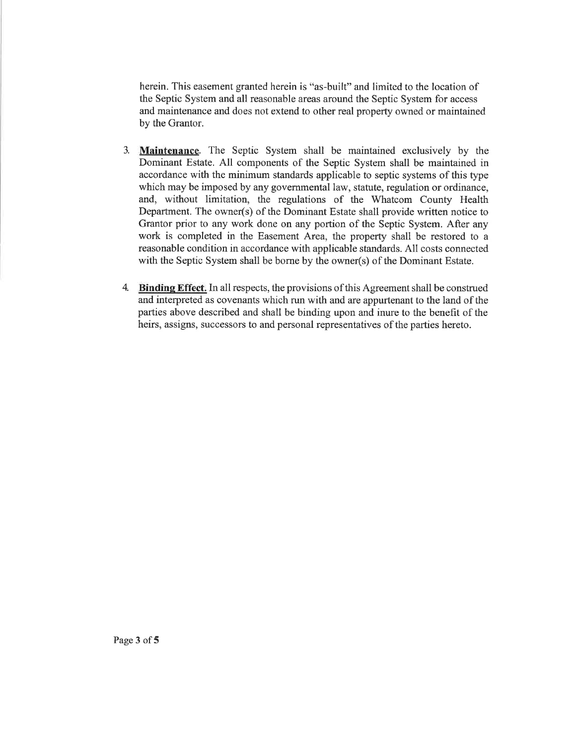herein. This easement granted herein is "as-built" and limited to the location of the Septic System and all reasonable areas around the Septic System for access and maintenance and does not extend to other real property owned or maintained by the Grantor.

- 3. Maintenance. The Septic System shall be maintained exclusively by the Dominant Estate. All components of the Septic System shall be maintained in accordance with the minimum standards applicable to septic systems of this type which may be imposed by any governmental law, statute, regulation or ordinance, and, without limitation, the regulations of the Whatcom County Health Department. The owner(s) of the Dominant Estate shall provide written notice to Grantor prior to any work done on any portion of the Septic System. After any work is completed in the Easement Area, the property shall be restored to <sup>a</sup> reasonable condition in accordance with applicable standards. All costs connected with the Septic System shall be borne by the owner(s) of the Dominant Estate.
- 4. Binding Effect. In all respects, the provisions of this Agreement shall be construed and interpreted as covenants which run with and are appurtenant to the land of the parties above described and shall be binding upon and inure to the benefit of the heirs, assigns, successors to and personal representatives of the parties hereto.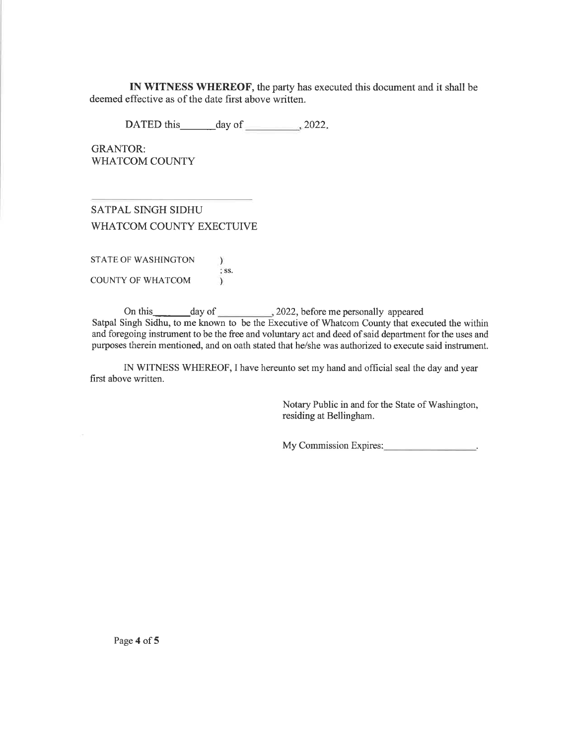IN WITNESS WHEREOF, the party has executed this document and it shall be deemed effective as of the date first above written.

DATED this day of 2022.

GRANTOR: WHATCOM COUNTY

SATPAL SINGH SIDHU WHATCOM COUNTY EXECTUIVE

STATE OF WASHINGTON  $\lambda$ ss. COUNTY OF WHATCOM  $\mathcal{L}$ 

On this day of 2022, before me personally appeared Satpal Singh Sidhu, to me known to be the Executive of Whatcom County that executed the within and foregoing instrument to be the free and voluntary act and deed of said department for the uses and purposes therein mentioned, and on oath stated that he/she was authorized to execute said instrument.

IN WITNESS WHEREOF, I have hereunto set my hand and official seal the day and year first above written.

> Notary Public in and for the State of Washington, residing at Bellingham.

> My Commission Expires: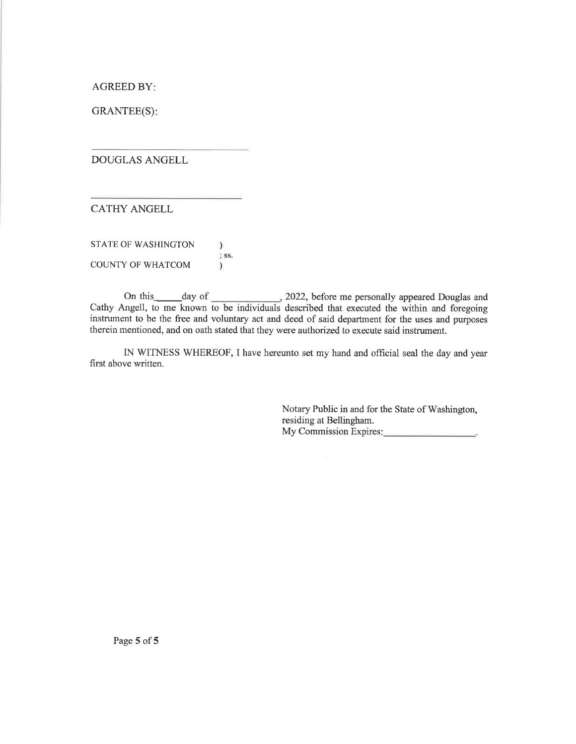AGREED BY

GRANTEE(S)

DOUGLAS ANGELL

CATHY ANGELL

STATE OF WASHINGTON  $\mathcal{L}$ ss. COUNTY OF WHATCOM  $\lambda$ 

On this day of 2022, before me personally appeared Douglas and Cathy Angell, to me known to be individuals described that executed the within and foregoing instrument to be the free and voluntary act and deed of said department for the uses and purposes therein mentioned, and on oath stated that they were authorized to execute said instrument.

IN WITNESS WHEREOF, I have hereunto set my hand and official seal the day and year first above written.

> Notary Public in and for the State of Washington, residing at Bellingham. My Commission Expires: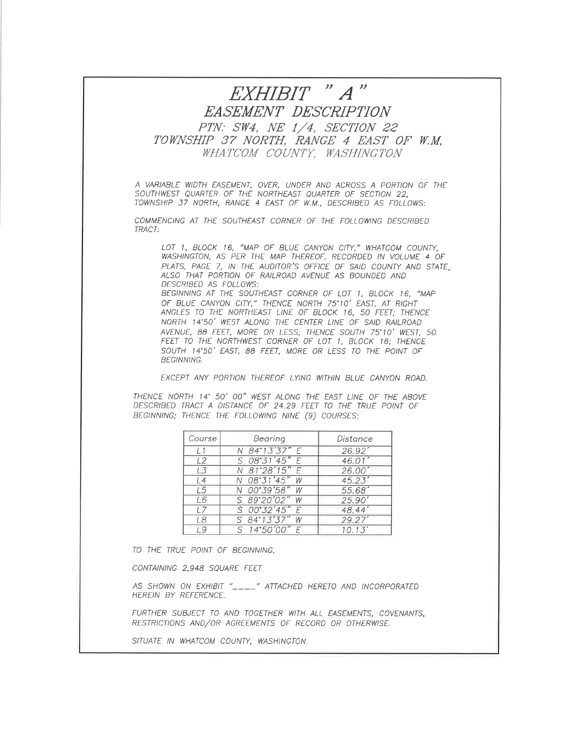## EXHIBIT " A " EASEMENT DESCRIPTION PTN: SW4, NE 1/4, SECTION 22 TOWNSHIP 37 NORTH, RANGE 4 EAST OF W.M. WHATCOM COUNTY, WASHINGTON

A VARIABLE WIDTH EASEMENT, OVER, UNDER AND ACROSS A PORTION OF THE SOUTHWEST QUARTER OF THE NORIHEASI QUARTER OF SECTION 22, TOWNSHIP 37 NORTH, RANGE 4 EAST OF W.M., DESCRIBED AS FOLLOWS:

COMMENCING AT THE SOUTHEAST CORNER OF THE FOLLOWING DESCRIBED TRACT:

LOT 1, BLOCK 16, "MAP OF BLUE CANYON CITY," WHATCOM COUNTY, WASHINGTON, AS PER THE MAP THEREOF, RECORDED IN VOLUME 4 OF PLATS, PAGE 7, IN THE AUDITOR'S OFFICE OF SAID COUNTY AND STATE, ALSO THAT PORTION OF RAILROAD AVENUE AS BOUNDED AND DESCRIBED AS FOLLOWS:

BEGINNING AT THE SOUTHEAST CORNER OF LOT 1, BLOCK 16, "MAP OF BLUE CANYON CITY," THENCE NORTH 75°10' EAST, AT RIGHT ANGLES TO THE NORTHEAST LINE OF BLOCK 16, 50 FEET; THENCE NORTH 14'50' WEST ALONG THE CENTER LINE OF SAID RAILROAD AVENUE, 88 FEET, MORE OR LESS; THENCE SOUTH 75'10' WEST, 50 FEET TO THE NORTHWEST CORNER OF LOT 1, BLOCK 16; THENCE SOUTH 1 4"50' EAST, 88 FEET, MORE OR LESS IO THE POINT OF BEGlNN/NG.

EXCEPT ANY PORTION THEREOF LYING WITHIN BLUE CANYON ROAD.

THENCE NORTH 14' 50' 00" WEST ALONG THE EAST LINE OF THE ABOVE DESCRIBED TRACT A DISTANCE OF 24.29 FEET TO THE TRUE POINT OF BEGINNING; THENCE THE FOLLOWING NINE (9) COURSES:

| Course | Bearing         | Distance |
|--------|-----------------|----------|
| 11     | N 84°13'37" E   | 26.92'   |
| 12     | S 08°31'45" E   | 46.01'   |
| 1.3    | N 81°28'15" E   | 26.00'   |
| 14     | N 08'31'45" W   | 45.23'   |
| L5     | N 00°39'58" W   | 55.68'   |
| L6     | S 89'20'02" W   | 25.90'   |
| 17     | $S$ 00°32'45" F | 48.44'   |
| 18     | $S$ 84°13'37" W | 29.27'   |
| 19     | $S$ 14°50'00" F | 10.13'   |

TO THE TRUE POINT OF BEGINNING.

CONTAINING 2,948 SQUARE FEET

AS SHOWN ON EXHIBIT "\_\_\_\_" ATTACHED HERETO AND INCORPORATED HEREIN BY REFERENCE.

FURTHER SUBJECT TO AND TOGETHER WITH ALL EASEMENTS, COVENANTS, RESTRICTIONS AND/OR AGREEMENTS OF RECORD OR OTHERWISE.

SITUATE IN WHATCOM COUNTY, WASHINGTON.